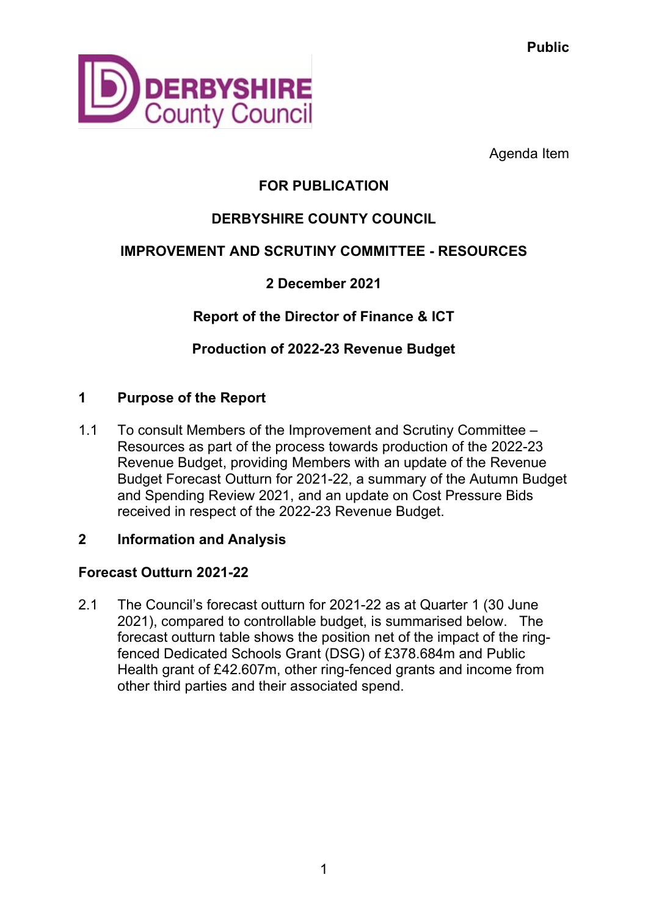**Public**



Agenda Item

# **FOR PUBLICATION**

# **DERBYSHIRE COUNTY COUNCIL**

## **IMPROVEMENT AND SCRUTINY COMMITTEE - RESOURCES**

## **2 December 2021**

**Report of the Director of Finance & ICT**

**Production of 2022-23 Revenue Budget**

## **1 Purpose of the Report**

1.1 To consult Members of the Improvement and Scrutiny Committee – Resources as part of the process towards production of the 2022-23 Revenue Budget, providing Members with an update of the Revenue Budget Forecast Outturn for 2021-22, a summary of the Autumn Budget and Spending Review 2021, and an update on Cost Pressure Bids received in respect of the 2022-23 Revenue Budget.

## **2 Information and Analysis**

## **Forecast Outturn 2021-22**

2.1 The Council's forecast outturn for 2021-22 as at Quarter 1 (30 June 2021), compared to controllable budget, is summarised below. The forecast outturn table shows the position net of the impact of the ringfenced Dedicated Schools Grant (DSG) of £378.684m and Public Health grant of £42.607m, other ring-fenced grants and income from other third parties and their associated spend.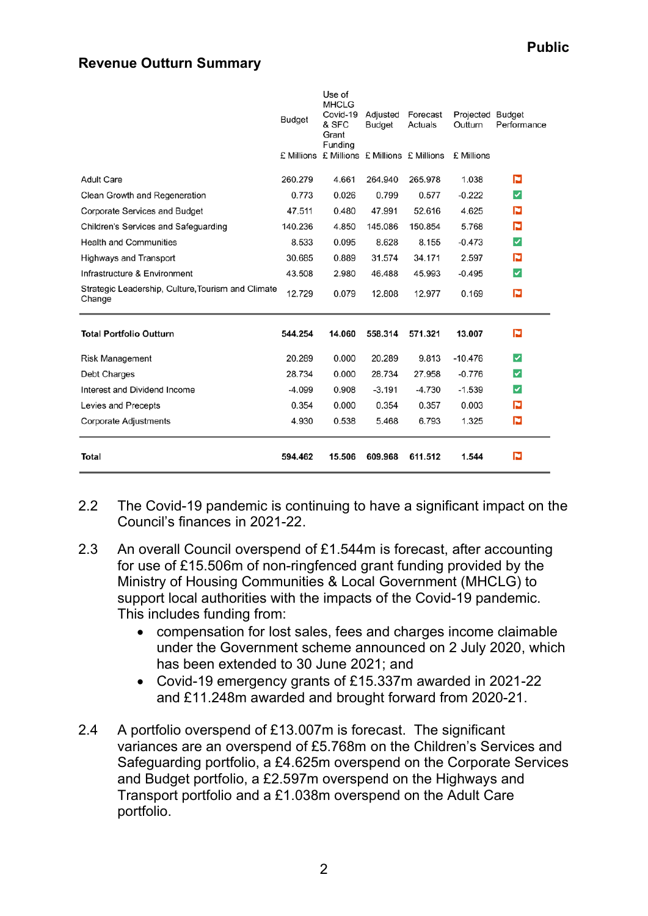#### **Revenue Outturn Summary**

| Total                                                        | 594.462       | 15.506                                               | 609.968                          | 611.512             | 1.544                       | P           |
|--------------------------------------------------------------|---------------|------------------------------------------------------|----------------------------------|---------------------|-----------------------------|-------------|
| <b>Corporate Adjustments</b>                                 | 4.930         | 0.538                                                | 5.468                            | 6.793               | 1.325                       | p           |
| Levies and Precepts                                          | 0.354         | 0.000                                                | 0.354                            | 0.357               | 0.003                       | p           |
| Interest and Dividend Income                                 | $-4.099$      | 0.908                                                | $-3.191$                         | -4.730              | $-1.539$                    | ☑           |
| Debt Charges                                                 | 28.734        | 0.000                                                | 28.734                           | 27.958              | $-0.776$                    | ⊽           |
| <b>Risk Management</b>                                       | 20.289        | 0.000                                                | 20.289                           | 9.813               | $-10.476$                   | ☑           |
| <b>Total Portfolio Outturn</b>                               | 544.254       | 14.060                                               | 558.314                          | 571.321             | 13.007                      | P           |
| Strategic Leadership, Culture, Tourism and Climate<br>Change | 12.729        | 0.079                                                | 12.808                           | 12.977              | 0.169                       | P           |
| Infrastructure & Environment                                 | 43.508        | 2.980                                                | 46.488                           | 45.993              | $-0.495$                    | ✓           |
| Highways and Transport                                       | 30.685        | 0.889                                                | 31.574                           | 34.171              | 2.597                       | P           |
| <b>Health and Communities</b>                                | 8.533         | 0.095                                                | 8.628                            | 8.155               | $-0.473$                    | ✓           |
| Children's Services and Safeguarding                         | 140.236       | 4.850                                                | 145.086                          | 150.854             | 5.768                       | P           |
| <b>Corporate Services and Budget</b>                         | 47.511        | 0.480                                                | 47.991                           | 52.616              | 4.625                       | P           |
| Clean Growth and Regeneration                                | 0.773         | 0.026                                                | 0.799                            | 0.577               | $-0.222$                    | ✓           |
| <b>Adult Care</b>                                            | 260.279       | 4.661                                                | 264.940                          | 265.978             | 1.038                       | P           |
|                                                              | £ Millions    | Funding                                              | £ Millions £ Millions £ Millions |                     | £ Millions                  |             |
|                                                              | <b>Budget</b> | Use of<br><b>MHCLG</b><br>Covid-19<br>& SFC<br>Grant | Adjusted<br>Budget               | Forecast<br>Actuals | Projected Budget<br>Outturn | Performance |

- 2.2 The Covid-19 pandemic is continuing to have a significant impact on the Council's finances in 2021-22.
- 2.3 An overall Council overspend of £1.544m is forecast, after accounting for use of £15.506m of non-ringfenced grant funding provided by the Ministry of Housing Communities & Local Government (MHCLG) to support local authorities with the impacts of the Covid-19 pandemic. This includes funding from:
	- compensation for lost sales, fees and charges income claimable under the Government scheme announced on 2 July 2020, which has been extended to 30 June 2021; and
	- Covid-19 emergency grants of £15.337m awarded in 2021-22 and £11.248m awarded and brought forward from 2020-21.
- 2.4 A portfolio overspend of £13.007m is forecast. The significant variances are an overspend of £5.768m on the Children's Services and Safeguarding portfolio, a £4.625m overspend on the Corporate Services and Budget portfolio, a £2.597m overspend on the Highways and Transport portfolio and a £1.038m overspend on the Adult Care portfolio.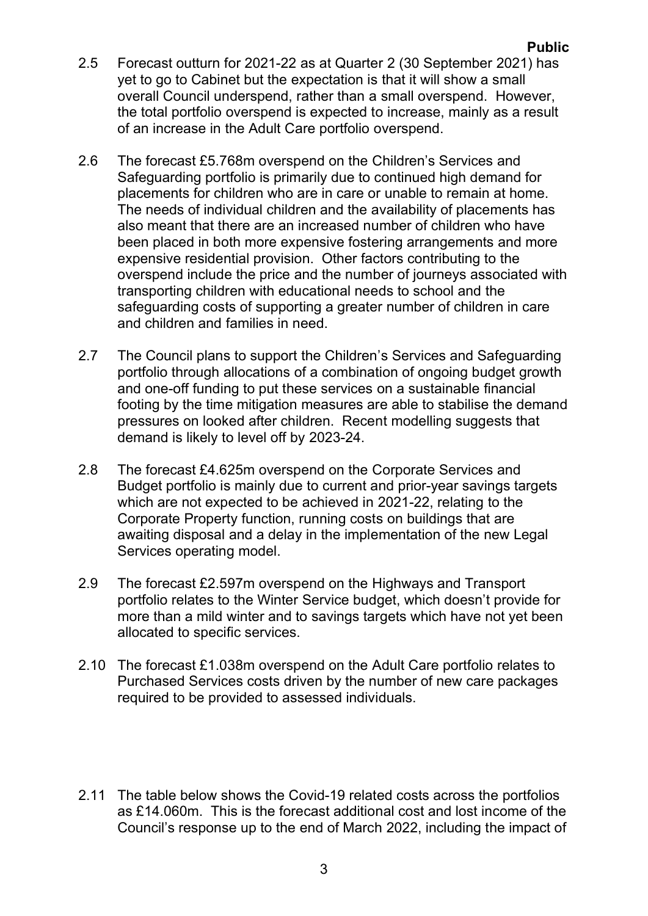- 2.5 Forecast outturn for 2021-22 as at Quarter 2 (30 September 2021) has yet to go to Cabinet but the expectation is that it will show a small overall Council underspend, rather than a small overspend. However, the total portfolio overspend is expected to increase, mainly as a result of an increase in the Adult Care portfolio overspend.
- 2.6 The forecast £5.768m overspend on the Children's Services and Safeguarding portfolio is primarily due to continued high demand for placements for children who are in care or unable to remain at home. The needs of individual children and the availability of placements has also meant that there are an increased number of children who have been placed in both more expensive fostering arrangements and more expensive residential provision. Other factors contributing to the overspend include the price and the number of journeys associated with transporting children with educational needs to school and the safeguarding costs of supporting a greater number of children in care and children and families in need.
- 2.7 The Council plans to support the Children's Services and Safeguarding portfolio through allocations of a combination of ongoing budget growth and one-off funding to put these services on a sustainable financial footing by the time mitigation measures are able to stabilise the demand pressures on looked after children. Recent modelling suggests that demand is likely to level off by 2023-24.
- 2.8 The forecast £4.625m overspend on the Corporate Services and Budget portfolio is mainly due to current and prior-year savings targets which are not expected to be achieved in 2021-22, relating to the Corporate Property function, running costs on buildings that are awaiting disposal and a delay in the implementation of the new Legal Services operating model.
- 2.9 The forecast £2.597m overspend on the Highways and Transport portfolio relates to the Winter Service budget, which doesn't provide for more than a mild winter and to savings targets which have not yet been allocated to specific services.
- 2.10 The forecast £1.038m overspend on the Adult Care portfolio relates to Purchased Services costs driven by the number of new care packages required to be provided to assessed individuals.
- 2.11 The table below shows the Covid-19 related costs across the portfolios as £14.060m. This is the forecast additional cost and lost income of the Council's response up to the end of March 2022, including the impact of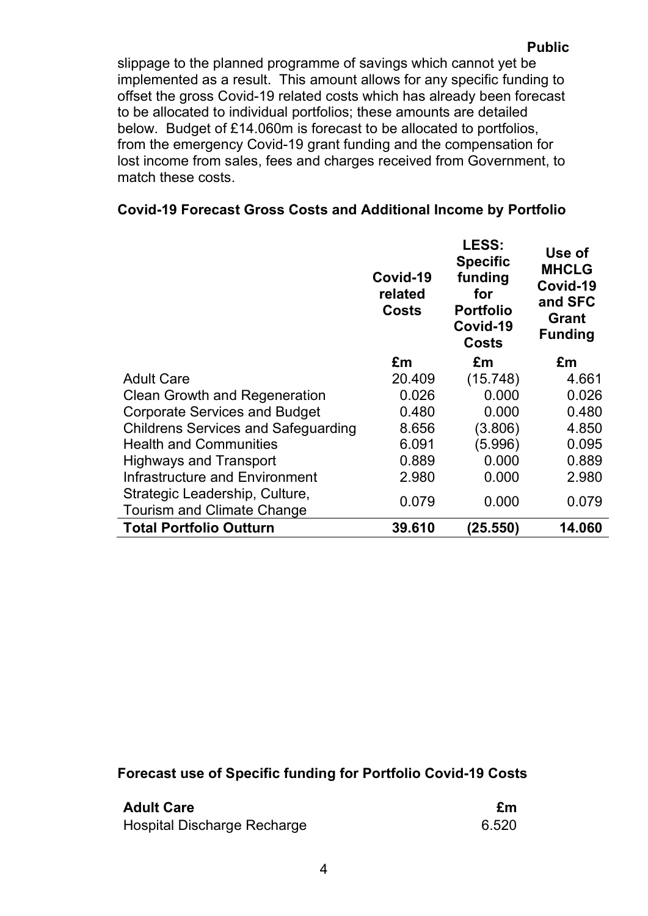slippage to the planned programme of savings which cannot yet be implemented as a result. This amount allows for any specific funding to offset the gross Covid-19 related costs which has already been forecast to be allocated to individual portfolios; these amounts are detailed below. Budget of £14.060m is forecast to be allocated to portfolios, from the emergency Covid-19 grant funding and the compensation for lost income from sales, fees and charges received from Government, to match these costs.

## **Covid-19 Forecast Gross Costs and Additional Income by Portfolio**

|                                                                     | Covid-19<br>related<br>Costs | LESS:<br><b>Specific</b><br>funding<br>for<br><b>Portfolio</b><br>Covid-19<br>Costs | Use of<br><b>MHCLG</b><br>Covid-19<br>and SFC<br>Grant<br><b>Funding</b> |
|---------------------------------------------------------------------|------------------------------|-------------------------------------------------------------------------------------|--------------------------------------------------------------------------|
|                                                                     | £m                           | £m                                                                                  | £m                                                                       |
| <b>Adult Care</b>                                                   | 20.409                       | (15.748)                                                                            | 4.661                                                                    |
| <b>Clean Growth and Regeneration</b>                                | 0.026                        | 0.000                                                                               | 0.026                                                                    |
| <b>Corporate Services and Budget</b>                                | 0.480                        | 0.000                                                                               | 0.480                                                                    |
| <b>Childrens Services and Safeguarding</b>                          | 8.656                        | (3.806)                                                                             | 4.850                                                                    |
| <b>Health and Communities</b>                                       | 6.091                        | (5.996)                                                                             | 0.095                                                                    |
| <b>Highways and Transport</b>                                       | 0.889                        | 0.000                                                                               | 0.889                                                                    |
| Infrastructure and Environment                                      | 2.980                        | 0.000                                                                               | 2.980                                                                    |
| Strategic Leadership, Culture,<br><b>Tourism and Climate Change</b> | 0.079                        | 0.000                                                                               | 0.079                                                                    |
| <b>Total Portfolio Outturn</b>                                      | 39.610                       | (25.550)                                                                            | 14.060                                                                   |

#### **Forecast use of Specific funding for Portfolio Covid-19 Costs**

| <b>Adult Care</b>           | £m    |
|-----------------------------|-------|
| Hospital Discharge Recharge | 6.520 |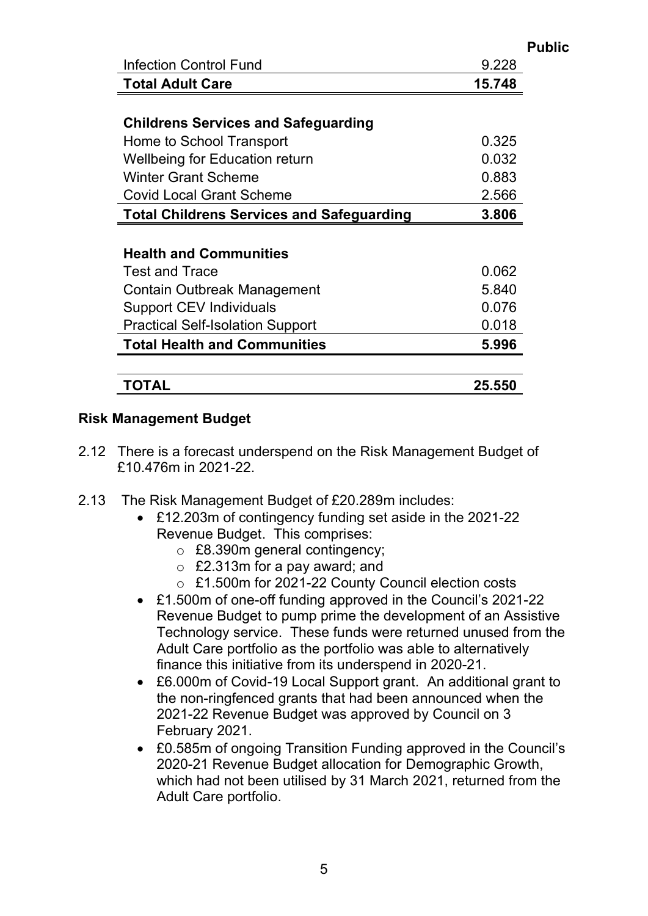|                                                  |        | <b>Public</b> |
|--------------------------------------------------|--------|---------------|
| <b>Infection Control Fund</b>                    | 9.228  |               |
| <b>Total Adult Care</b>                          | 15.748 |               |
|                                                  |        |               |
| <b>Childrens Services and Safeguarding</b>       |        |               |
| Home to School Transport                         | 0.325  |               |
| Wellbeing for Education return                   | 0.032  |               |
| <b>Winter Grant Scheme</b>                       | 0.883  |               |
| <b>Covid Local Grant Scheme</b>                  | 2.566  |               |
| <b>Total Childrens Services and Safeguarding</b> | 3.806  |               |
|                                                  |        |               |
| <b>Health and Communities</b>                    |        |               |
| <b>Test and Trace</b>                            | 0.062  |               |
| Contain Outbreak Management                      | 5.840  |               |
| <b>Support CEV Individuals</b>                   | 0.076  |               |
| <b>Practical Self-Isolation Support</b>          | 0.018  |               |
| <b>Total Health and Communities</b>              | 5.996  |               |
| TOTAL                                            | 25.550 |               |

#### **Risk Management Budget**

- 2.12 There is a forecast underspend on the Risk Management Budget of £10.476m in 2021-22.
- 2.13 The Risk Management Budget of £20.289m includes:
	- £12.203m of contingency funding set aside in the 2021-22 Revenue Budget. This comprises:
		- o £8.390m general contingency;
		- $\circ$  £2.313m for a pay award; and
		- o £1.500m for 2021-22 County Council election costs
	- £1.500m of one-off funding approved in the Council's 2021-22 Revenue Budget to pump prime the development of an Assistive Technology service. These funds were returned unused from the Adult Care portfolio as the portfolio was able to alternatively finance this initiative from its underspend in 2020-21.
	- £6.000m of Covid-19 Local Support grant. An additional grant to the non-ringfenced grants that had been announced when the 2021-22 Revenue Budget was approved by Council on 3 February 2021.
	- £0.585m of ongoing Transition Funding approved in the Council's 2020-21 Revenue Budget allocation for Demographic Growth, which had not been utilised by 31 March 2021, returned from the Adult Care portfolio.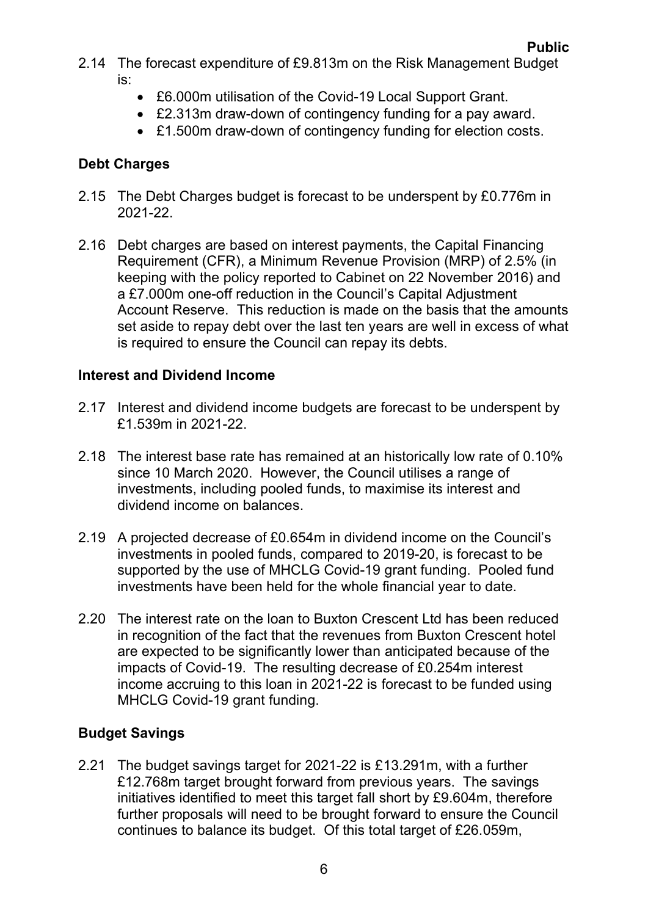- 2.14 The forecast expenditure of £9.813m on the Risk Management Budget is:
	- £6.000m utilisation of the Covid-19 Local Support Grant.
	- £2.313m draw-down of contingency funding for a pay award.
	- £1.500m draw-down of contingency funding for election costs.

## **Debt Charges**

- 2.15 The Debt Charges budget is forecast to be underspent by £0.776m in 2021-22.
- 2.16 Debt charges are based on interest payments, the Capital Financing Requirement (CFR), a Minimum Revenue Provision (MRP) of 2.5% (in keeping with the policy reported to Cabinet on 22 November 2016) and a £7.000m one-off reduction in the Council's Capital Adjustment Account Reserve. This reduction is made on the basis that the amounts set aside to repay debt over the last ten years are well in excess of what is required to ensure the Council can repay its debts.

## **Interest and Dividend Income**

- 2.17 Interest and dividend income budgets are forecast to be underspent by £1.539m in 2021-22.
- 2.18 The interest base rate has remained at an historically low rate of 0.10% since 10 March 2020. However, the Council utilises a range of investments, including pooled funds, to maximise its interest and dividend income on balances.
- 2.19 A projected decrease of £0.654m in dividend income on the Council's investments in pooled funds, compared to 2019-20, is forecast to be supported by the use of MHCLG Covid-19 grant funding. Pooled fund investments have been held for the whole financial year to date.
- 2.20 The interest rate on the loan to Buxton Crescent Ltd has been reduced in recognition of the fact that the revenues from Buxton Crescent hotel are expected to be significantly lower than anticipated because of the impacts of Covid-19. The resulting decrease of £0.254m interest income accruing to this loan in 2021-22 is forecast to be funded using MHCLG Covid-19 grant funding.

# **Budget Savings**

2.21 The budget savings target for 2021-22 is £13.291m, with a further £12.768m target brought forward from previous years. The savings initiatives identified to meet this target fall short by £9.604m, therefore further proposals will need to be brought forward to ensure the Council continues to balance its budget. Of this total target of £26.059m,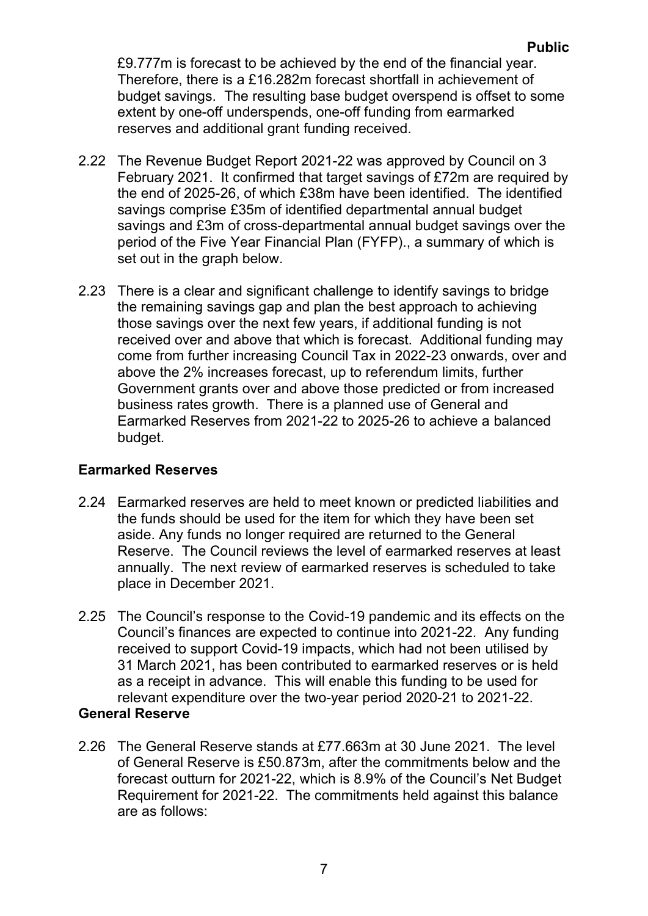£9.777m is forecast to be achieved by the end of the financial year. Therefore, there is a £16.282m forecast shortfall in achievement of budget savings. The resulting base budget overspend is offset to some extent by one-off underspends, one-off funding from earmarked reserves and additional grant funding received.

- 2.22 The Revenue Budget Report 2021-22 was approved by Council on 3 February 2021. It confirmed that target savings of £72m are required by the end of 2025-26, of which £38m have been identified. The identified savings comprise £35m of identified departmental annual budget savings and £3m of cross-departmental annual budget savings over the period of the Five Year Financial Plan (FYFP)., a summary of which is set out in the graph below.
- 2.23 There is a clear and significant challenge to identify savings to bridge the remaining savings gap and plan the best approach to achieving those savings over the next few years, if additional funding is not received over and above that which is forecast. Additional funding may come from further increasing Council Tax in 2022-23 onwards, over and above the 2% increases forecast, up to referendum limits, further Government grants over and above those predicted or from increased business rates growth. There is a planned use of General and Earmarked Reserves from 2021-22 to 2025-26 to achieve a balanced budget.

#### **Earmarked Reserves**

- 2.24 Earmarked reserves are held to meet known or predicted liabilities and the funds should be used for the item for which they have been set aside. Any funds no longer required are returned to the General Reserve. The Council reviews the level of earmarked reserves at least annually. The next review of earmarked reserves is scheduled to take place in December 2021.
- 2.25 The Council's response to the Covid-19 pandemic and its effects on the Council's finances are expected to continue into 2021-22. Any funding received to support Covid-19 impacts, which had not been utilised by 31 March 2021, has been contributed to earmarked reserves or is held as a receipt in advance. This will enable this funding to be used for relevant expenditure over the two-year period 2020-21 to 2021-22.

#### **General Reserve**

2.26 The General Reserve stands at £77.663m at 30 June 2021. The level of General Reserve is £50.873m, after the commitments below and the forecast outturn for 2021-22, which is 8.9% of the Council's Net Budget Requirement for 2021-22. The commitments held against this balance are as follows: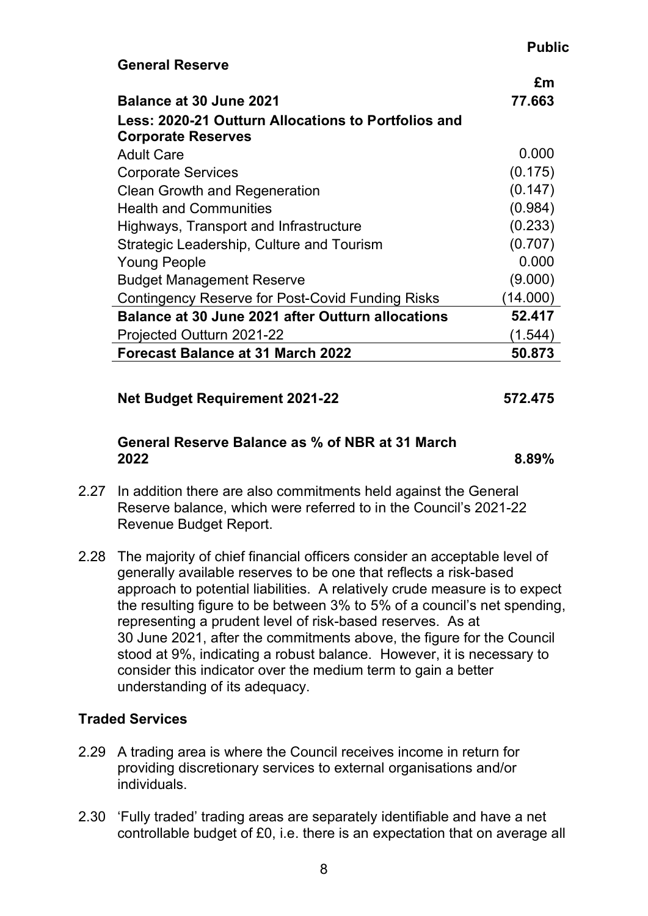#### **Public**

|                                                          | £m       |
|----------------------------------------------------------|----------|
| <b>Balance at 30 June 2021</b>                           | 77.663   |
| Less: 2020-21 Outturn Allocations to Portfolios and      |          |
| <b>Corporate Reserves</b>                                |          |
| <b>Adult Care</b>                                        | 0.000    |
| <b>Corporate Services</b>                                | (0.175)  |
| <b>Clean Growth and Regeneration</b>                     | (0.147)  |
| <b>Health and Communities</b>                            | (0.984)  |
| Highways, Transport and Infrastructure                   | (0.233)  |
| Strategic Leadership, Culture and Tourism                | (0.707)  |
| <b>Young People</b>                                      | 0.000    |
| <b>Budget Management Reserve</b>                         | (9.000)  |
| Contingency Reserve for Post-Covid Funding Risks         | (14.000) |
| <b>Balance at 30 June 2021 after Outturn allocations</b> | 52.417   |
| Projected Outturn 2021-22                                | (1.544)  |
| Forecast Balance at 31 March 2022                        | 50.873   |

#### **Net Budget Requirement 2021-22 572.475**

**General Reserve**

#### **General Reserve Balance as % of NBR at 31 March 2022 8.89%**

- 2.27 In addition there are also commitments held against the General Reserve balance, which were referred to in the Council's 2021-22 Revenue Budget Report.
- 2.28 The majority of chief financial officers consider an acceptable level of generally available reserves to be one that reflects a risk-based approach to potential liabilities. A relatively crude measure is to expect the resulting figure to be between 3% to 5% of a council's net spending, representing a prudent level of risk-based reserves. As at 30 June 2021, after the commitments above, the figure for the Council stood at 9%, indicating a robust balance. However, it is necessary to consider this indicator over the medium term to gain a better understanding of its adequacy.

## **Traded Services**

- 2.29 A trading area is where the Council receives income in return for providing discretionary services to external organisations and/or individuals.
- 2.30 'Fully traded' trading areas are separately identifiable and have a net controllable budget of £0, i.e. there is an expectation that on average all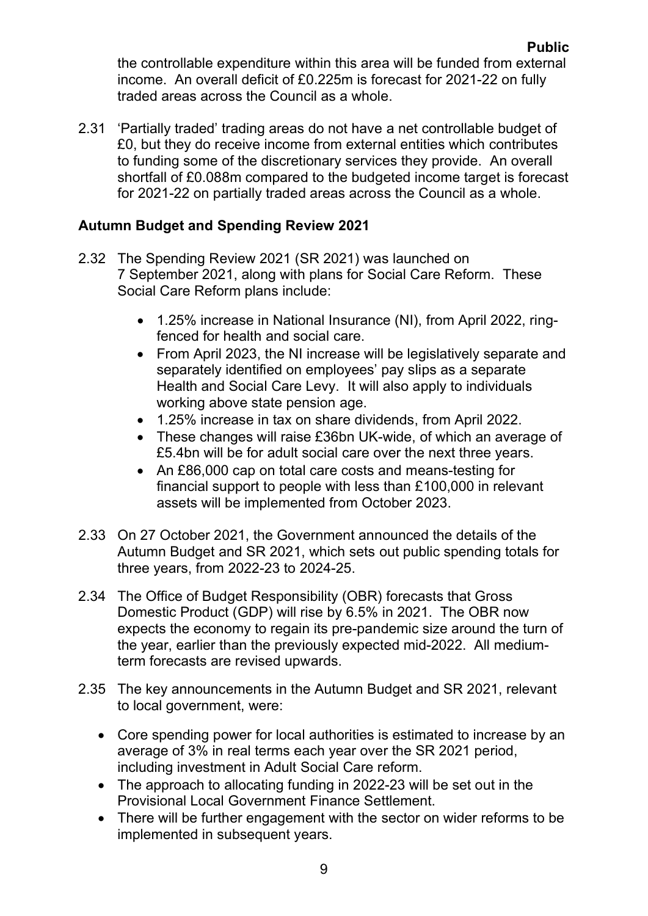the controllable expenditure within this area will be funded from external income. An overall deficit of £0.225m is forecast for 2021-22 on fully traded areas across the Council as a whole.

2.31 'Partially traded' trading areas do not have a net controllable budget of £0, but they do receive income from external entities which contributes to funding some of the discretionary services they provide. An overall shortfall of £0.088m compared to the budgeted income target is forecast for 2021-22 on partially traded areas across the Council as a whole.

## **Autumn Budget and Spending Review 2021**

- 2.32 The Spending Review 2021 (SR 2021) was launched on 7 September 2021, along with plans for Social Care Reform. These Social Care Reform plans include:
	- 1.25% increase in National Insurance (NI), from April 2022, ringfenced for health and social care.
	- From April 2023, the NI increase will be legislatively separate and separately identified on employees' pay slips as a separate Health and Social Care Levy. It will also apply to individuals working above state pension age.
	- 1.25% increase in tax on share dividends, from April 2022.
	- These changes will raise £36bn UK-wide, of which an average of £5.4bn will be for adult social care over the next three years.
	- An £86,000 cap on total care costs and means-testing for financial support to people with less than £100,000 in relevant assets will be implemented from October 2023.
- 2.33 On 27 October 2021, the Government announced the details of the Autumn Budget and SR 2021, which sets out public spending totals for three years, from 2022-23 to 2024-25.
- 2.34 The Office of Budget Responsibility (OBR) forecasts that Gross Domestic Product (GDP) will rise by 6.5% in 2021. The OBR now expects the economy to regain its pre-pandemic size around the turn of the year, earlier than the previously expected mid-2022. All mediumterm forecasts are revised upwards.
- 2.35 The key announcements in the Autumn Budget and SR 2021, relevant to local government, were:
	- Core spending power for local authorities is estimated to increase by an average of 3% in real terms each year over the SR 2021 period, including investment in Adult Social Care reform.
	- The approach to allocating funding in 2022-23 will be set out in the Provisional Local Government Finance Settlement.
	- There will be further engagement with the sector on wider reforms to be implemented in subsequent years.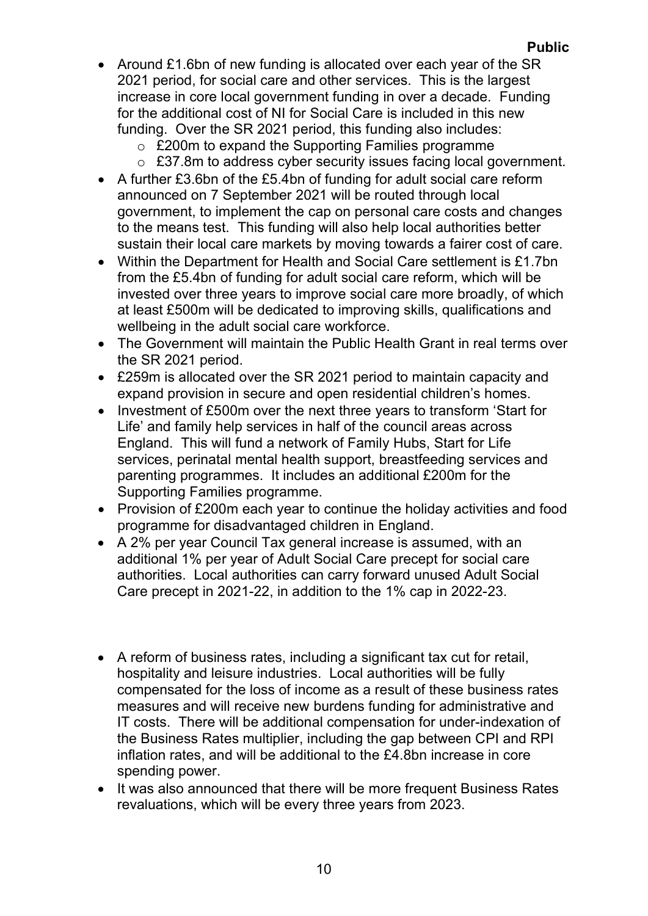- Around £1.6bn of new funding is allocated over each year of the SR 2021 period, for social care and other services. This is the largest increase in core local government funding in over a decade. Funding for the additional cost of NI for Social Care is included in this new funding. Over the SR 2021 period, this funding also includes:
	- o £200m to expand the Supporting Families programme
	- $\circ$  £37.8m to address cyber security issues facing local government.
- A further £3.6bn of the £5.4bn of funding for adult social care reform announced on 7 September 2021 will be routed through local government, to implement the cap on personal care costs and changes to the means test. This funding will also help local authorities better sustain their local care markets by moving towards a fairer cost of care.
- Within the Department for Health and Social Care settlement is £1.7bn from the £5.4bn of funding for adult social care reform, which will be invested over three years to improve social care more broadly, of which at least £500m will be dedicated to improving skills, qualifications and wellbeing in the adult social care workforce.
- The Government will maintain the Public Health Grant in real terms over the SR 2021 period.
- £259m is allocated over the SR 2021 period to maintain capacity and expand provision in secure and open residential children's homes.
- Investment of £500m over the next three years to transform 'Start for Life' and family help services in half of the council areas across England. This will fund a network of Family Hubs, Start for Life services, perinatal mental health support, breastfeeding services and parenting programmes. It includes an additional £200m for the Supporting Families programme.
- Provision of £200m each year to continue the holiday activities and food programme for disadvantaged children in England.
- A 2% per year Council Tax general increase is assumed, with an additional 1% per year of Adult Social Care precept for social care authorities. Local authorities can carry forward unused Adult Social Care precept in 2021-22, in addition to the 1% cap in 2022-23.
- A reform of business rates, including a significant tax cut for retail, hospitality and leisure industries. Local authorities will be fully compensated for the loss of income as a result of these business rates measures and will receive new burdens funding for administrative and IT costs. There will be additional compensation for under-indexation of the Business Rates multiplier, including the gap between CPI and RPI inflation rates, and will be additional to the £4.8bn increase in core spending power.
- It was also announced that there will be more frequent Business Rates revaluations, which will be every three years from 2023.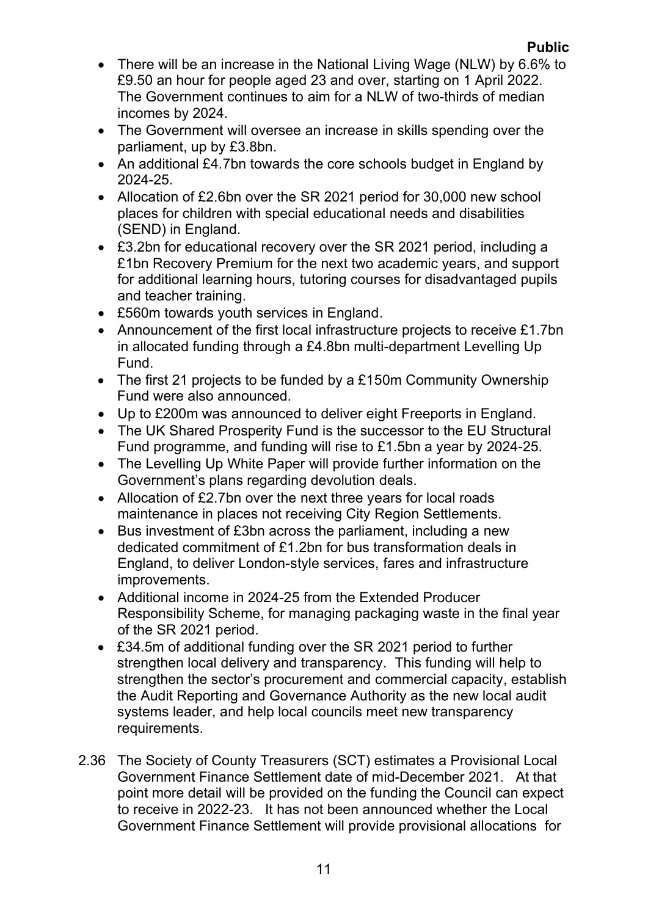- There will be an increase in the National Living Wage (NLW) by 6.6% to £9.50 an hour for people aged 23 and over, starting on 1 April 2022. The Government continues to aim for a NLW of two-thirds of median incomes by 2024.
- The Government will oversee an increase in skills spending over the parliament, up by £3.8bn.
- An additional £4.7bn towards the core schools budget in England by 2024-25.
- Allocation of £2.6bn over the SR 2021 period for 30,000 new school places for children with special educational needs and disabilities (SEND) in England.
- £3.2bn for educational recovery over the SR 2021 period, including a £1bn Recovery Premium for the next two academic years, and support for additional learning hours, tutoring courses for disadvantaged pupils and teacher training.
- £560m towards youth services in England.
- Announcement of the first local infrastructure projects to receive £1.7bn in allocated funding through a £4.8bn multi-department Levelling Up Fund.
- The first 21 projects to be funded by a £150m Community Ownership Fund were also announced.
- Up to £200m was announced to deliver eight Freeports in England.
- The UK Shared Prosperity Fund is the successor to the EU Structural Fund programme, and funding will rise to £1.5bn a year by 2024-25.
- The Levelling Up White Paper will provide further information on the Government's plans regarding devolution deals.
- Allocation of £2.7bn over the next three years for local roads maintenance in places not receiving City Region Settlements.
- Bus investment of £3bn across the parliament, including a new dedicated commitment of £1.2bn for bus transformation deals in England, to deliver London-style services, fares and infrastructure improvements.
- Additional income in 2024-25 from the Extended Producer Responsibility Scheme, for managing packaging waste in the final year of the SR 2021 period.
- £34.5m of additional funding over the SR 2021 period to further strengthen local delivery and transparency. This funding will help to strengthen the sector's procurement and commercial capacity, establish the Audit Reporting and Governance Authority as the new local audit systems leader, and help local councils meet new transparency requirements.
- 2.36 The Society of County Treasurers (SCT) estimates a Provisional Local Government Finance Settlement date of mid-December 2021. At that point more detail will be provided on the funding the Council can expect to receive in 2022-23. It has not been announced whether the Local Government Finance Settlement will provide provisional allocations for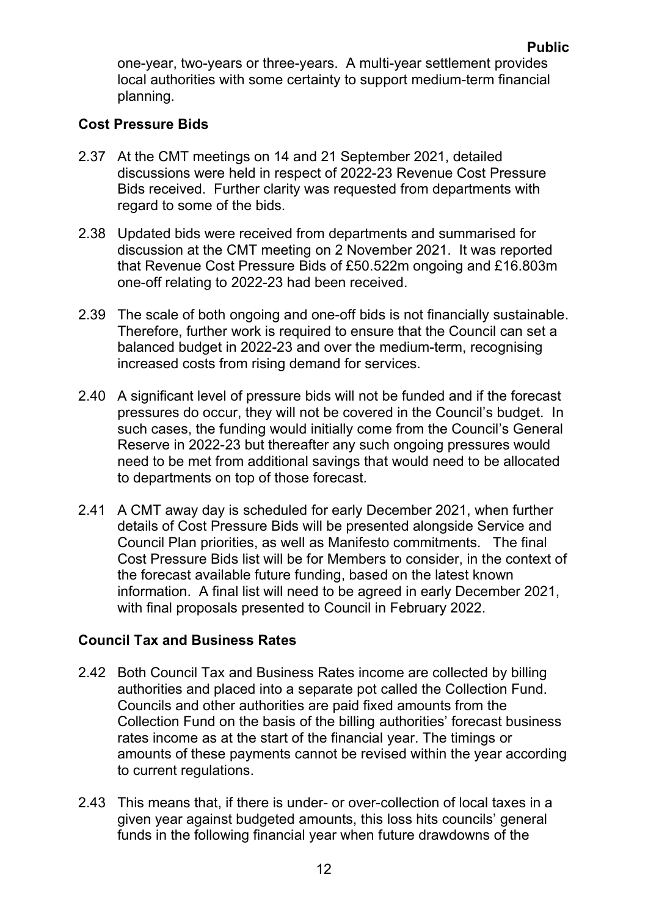one-year, two-years or three-years. A multi-year settlement provides local authorities with some certainty to support medium-term financial planning.

## **Cost Pressure Bids**

- 2.37 At the CMT meetings on 14 and 21 September 2021, detailed discussions were held in respect of 2022-23 Revenue Cost Pressure Bids received. Further clarity was requested from departments with regard to some of the bids.
- 2.38 Updated bids were received from departments and summarised for discussion at the CMT meeting on 2 November 2021. It was reported that Revenue Cost Pressure Bids of £50.522m ongoing and £16.803m one-off relating to 2022-23 had been received.
- 2.39 The scale of both ongoing and one-off bids is not financially sustainable. Therefore, further work is required to ensure that the Council can set a balanced budget in 2022-23 and over the medium-term, recognising increased costs from rising demand for services.
- 2.40 A significant level of pressure bids will not be funded and if the forecast pressures do occur, they will not be covered in the Council's budget. In such cases, the funding would initially come from the Council's General Reserve in 2022-23 but thereafter any such ongoing pressures would need to be met from additional savings that would need to be allocated to departments on top of those forecast.
- 2.41 A CMT away day is scheduled for early December 2021, when further details of Cost Pressure Bids will be presented alongside Service and Council Plan priorities, as well as Manifesto commitments. The final Cost Pressure Bids list will be for Members to consider, in the context of the forecast available future funding, based on the latest known information. A final list will need to be agreed in early December 2021, with final proposals presented to Council in February 2022.

#### **Council Tax and Business Rates**

- 2.42 Both Council Tax and Business Rates income are collected by billing authorities and placed into a separate pot called the Collection Fund. Councils and other authorities are paid fixed amounts from the Collection Fund on the basis of the billing authorities' forecast business rates income as at the start of the financial year. The timings or amounts of these payments cannot be revised within the year according to current regulations.
- 2.43 This means that, if there is under- or over-collection of local taxes in a given year against budgeted amounts, this loss hits councils' general funds in the following financial year when future drawdowns of the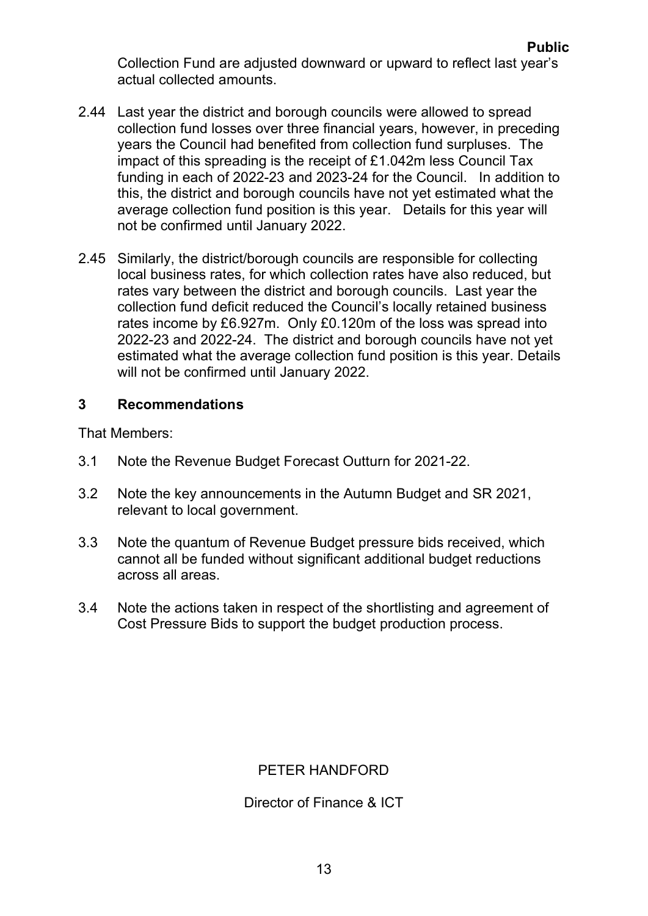Collection Fund are adjusted downward or upward to reflect last year's actual collected amounts.

- 2.44 Last year the district and borough councils were allowed to spread collection fund losses over three financial years, however, in preceding years the Council had benefited from collection fund surpluses. The impact of this spreading is the receipt of £1.042m less Council Tax funding in each of 2022-23 and 2023-24 for the Council. In addition to this, the district and borough councils have not yet estimated what the average collection fund position is this year. Details for this year will not be confirmed until January 2022.
- 2.45 Similarly, the district/borough councils are responsible for collecting local business rates, for which collection rates have also reduced, but rates vary between the district and borough councils. Last year the collection fund deficit reduced the Council's locally retained business rates income by £6.927m. Only £0.120m of the loss was spread into 2022-23 and 2022-24. The district and borough councils have not yet estimated what the average collection fund position is this year. Details will not be confirmed until January 2022.

#### **3 Recommendations**

That Members:

- 3.1 Note the Revenue Budget Forecast Outturn for 2021-22.
- 3.2 Note the key announcements in the Autumn Budget and SR 2021, relevant to local government.
- 3.3 Note the quantum of Revenue Budget pressure bids received, which cannot all be funded without significant additional budget reductions across all areas.
- 3.4 Note the actions taken in respect of the shortlisting and agreement of Cost Pressure Bids to support the budget production process.

## PETER HANDFORD

#### Director of Finance & ICT